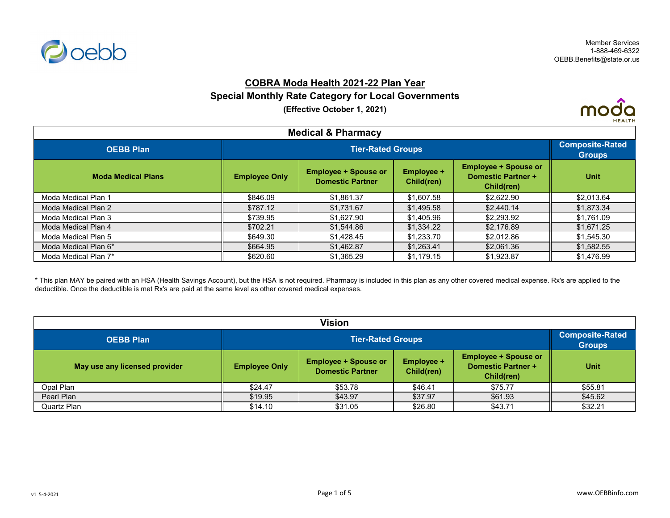

## **COBRA Moda Health 2021-22 Plan Year**

#### **Special Monthly Rate Category for Local Governments**

**(Effective October 1, 2021)**



| <b>Medical &amp; Pharmacy</b> |                      |                                                        |                          |                                                                        |             |  |
|-------------------------------|----------------------|--------------------------------------------------------|--------------------------|------------------------------------------------------------------------|-------------|--|
| <b>OEBB Plan</b>              |                      | <b>Composite-Rated</b><br><b>Groups</b>                |                          |                                                                        |             |  |
| <b>Moda Medical Plans</b>     | <b>Employee Only</b> | <b>Employee + Spouse or</b><br><b>Domestic Partner</b> | Employee +<br>Child(ren) | <b>Employee + Spouse or</b><br><b>Domestic Partner +</b><br>Child(ren) | <b>Unit</b> |  |
| Moda Medical Plan 1           | \$846.09             | \$1.861.37                                             | \$1,607.58               | \$2,622.90                                                             | \$2,013.64  |  |
| Moda Medical Plan 2           | \$787.12             | \$1.731.67                                             | \$1,495.58               | \$2,440.14                                                             | \$1,873.34  |  |
| Moda Medical Plan 3           | \$739.95             | \$1.627.90                                             | \$1,405.96               | \$2,293.92                                                             | \$1,761.09  |  |
| Moda Medical Plan 4           | \$702.21             | \$1.544.86                                             | \$1,334,22               | \$2.176.89                                                             | \$1,671.25  |  |
| Moda Medical Plan 5           | \$649.30             | \$1,428.45                                             | \$1,233.70               | \$2,012.86                                                             | \$1,545.30  |  |
| Moda Medical Plan 6*          | \$664.95             | \$1,462.87                                             | \$1,263.41               | \$2,061.36                                                             | \$1,582.55  |  |
| Moda Medical Plan 7*          | \$620.60             | \$1.365.29                                             | \$1,179.15               | \$1,923.87                                                             | \$1,476.99  |  |

\* This plan MAY be paired with an HSA (Health Savings Account), but the HSA is not required. Pharmacy is included in this plan as any other covered medical expense. Rx's are applied to the deductible. Once the deductible is met Rx's are paid at the same level as other covered medical expenses.

| <b>Vision</b>                 |                      |                                                                                                                                                                     |         |         |         |  |  |
|-------------------------------|----------------------|---------------------------------------------------------------------------------------------------------------------------------------------------------------------|---------|---------|---------|--|--|
| <b>OEBB Plan</b>              |                      | <b>Tier-Rated Groups</b>                                                                                                                                            |         |         |         |  |  |
| May use any licensed provider | <b>Employee Only</b> | <b>Employee + Spouse or</b><br><b>Employee + Spouse or</b><br><b>Employee +</b><br><b>Domestic Partner +</b><br><b>Domestic Partner</b><br>Child(ren)<br>Child(ren) |         |         |         |  |  |
| Opal Plan                     | \$24.47              | \$53.78                                                                                                                                                             | \$46.41 | \$75.77 | \$55.81 |  |  |
| Pearl Plan                    | \$19.95              | \$43.97                                                                                                                                                             | \$37.97 | \$61.93 | \$45.62 |  |  |
| Quartz Plan                   | \$14.10              | \$31.05                                                                                                                                                             | \$26.80 | \$43.71 | \$32.21 |  |  |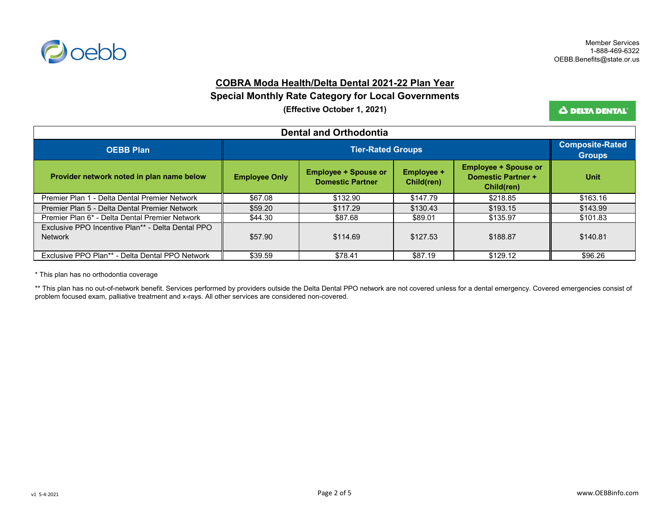

### **COBRA Moda Health/Delta Dental 2021-22 Plan Year**

#### **Special Monthly Rate Category for Local Governments**

**(Effective October 1, 2021)**

Δ DELTA DENTAL<sup>®</sup>

| <b>Dental and Orthodontia</b>                                       |                      |                                                        |                                 |                                                                        |             |  |
|---------------------------------------------------------------------|----------------------|--------------------------------------------------------|---------------------------------|------------------------------------------------------------------------|-------------|--|
| <b>OEBB Plan</b>                                                    |                      | <b>Tier-Rated Groups</b>                               |                                 |                                                                        |             |  |
| Provider network noted in plan name below                           | <b>Employee Only</b> | <b>Employee + Spouse or</b><br><b>Domestic Partner</b> | <b>Employee +</b><br>Child(ren) | <b>Employee + Spouse or</b><br><b>Domestic Partner +</b><br>Child(ren) | <b>Unit</b> |  |
| Premier Plan 1 - Delta Dental Premier Network                       | \$67.08              | \$132.90                                               | \$147.79                        | \$218.85                                                               | \$163.16    |  |
| Premier Plan 5 - Delta Dental Premier Network                       | \$59.20              | \$117.29                                               | \$130.43                        | \$193.15                                                               | \$143.99    |  |
| Premier Plan 6* - Delta Dental Premier Network                      | \$44.30              | \$87.68                                                | \$89.01                         | \$135.97                                                               | \$101.83    |  |
| Exclusive PPO Incentive Plan** - Delta Dental PPO<br><b>Network</b> | \$57.90              | \$114.69                                               | \$127.53                        | \$188.87                                                               | \$140.81    |  |
| Exclusive PPO Plan** - Delta Dental PPO Network                     | \$39.59              | \$78.41                                                | \$87.19                         | \$129.12                                                               | \$96.26     |  |

\* This plan has no orthodontia coverage

\*\* This plan has no out-of-network benefit. Services performed by providers outside the Delta Dental PPO network are not covered unless for a dental emergency. Covered emergencies consist of problem focused exam, palliative treatment and x-rays. All other services are considered non-covered.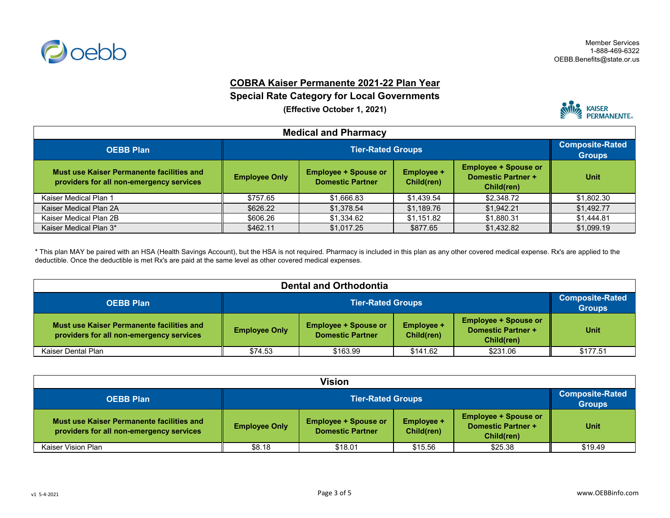

## **COBRA Kaiser Permanente 2021-22 Plan Year**

# **Special Rate Category for Local Governments**

**(Effective October 1, 2021)**



| <b>Medical and Pharmacy</b>                                                           |                      |                          |            |            |            |  |
|---------------------------------------------------------------------------------------|----------------------|--------------------------|------------|------------|------------|--|
| <b>OEBB Plan</b>                                                                      |                      | <b>Tier-Rated Groups</b> |            |            |            |  |
| Must use Kaiser Permanente facilities and<br>providers for all non-emergency services | <b>Employee Only</b> | <b>Unit</b>              |            |            |            |  |
| Kaiser Medical Plan 1                                                                 | \$757.65             | \$1,666.83               | \$1,439.54 | \$2,348.72 | \$1,802.30 |  |
| Kaiser Medical Plan 2A                                                                | \$626.22             | \$1.378.54               | \$1,189.76 | \$1,942.21 | \$1,492.77 |  |
| Kaiser Medical Plan 2B                                                                | \$606.26             | \$1,334.62               | \$1,151.82 | \$1,880.31 | \$1,444.81 |  |
| Kaiser Medical Plan 3*                                                                | \$462.11             | \$1,017.25               | \$877.65   | \$1,432.82 | \$1,099.19 |  |

\* This plan MAY be paired with an HSA (Health Savings Account), but the HSA is not required. Pharmacy is included in this plan as any other covered medical expense. Rx's are applied to the deductible. Once the deductible is met Rx's are paid at the same level as other covered medical expenses.

| <b>Dental and Orthodontia</b>                                                         |                      |                                                                                                                                                              |          |          |          |  |
|---------------------------------------------------------------------------------------|----------------------|--------------------------------------------------------------------------------------------------------------------------------------------------------------|----------|----------|----------|--|
| <b>OEBB Plan</b>                                                                      |                      | <b>Tier-Rated Groups</b>                                                                                                                                     |          |          |          |  |
| Must use Kaiser Permanente facilities and<br>providers for all non-emergency services | <b>Employee Only</b> | <b>Employee + Spouse or</b><br><b>Employee + Spouse or</b><br>Employee +<br><b>Domestic Partner +</b><br><b>Domestic Partner</b><br>Child(ren)<br>Child(ren) |          |          |          |  |
| Kaiser Dental Plan                                                                    | \$74.53              | \$163.99                                                                                                                                                     | \$141.62 | \$231.06 | \$177.51 |  |

| Vision                                                                                |                      |                                                                                                                                                              |         |         |         |  |
|---------------------------------------------------------------------------------------|----------------------|--------------------------------------------------------------------------------------------------------------------------------------------------------------|---------|---------|---------|--|
| <b>OEBB Plan</b>                                                                      |                      | <b>Tier-Rated Groups</b>                                                                                                                                     |         |         |         |  |
| Must use Kaiser Permanente facilities and<br>providers for all non-emergency services | <b>Employee Only</b> | <b>Employee + Spouse or</b><br><b>Employee + Spouse or</b><br>Employee +<br><b>Domestic Partner +</b><br><b>Domestic Partner</b><br>Child(ren)<br>Child(ren) |         |         |         |  |
| Kaiser Vision Plan                                                                    | \$8.18               | \$18.01                                                                                                                                                      | \$15.56 | \$25.38 | \$19.49 |  |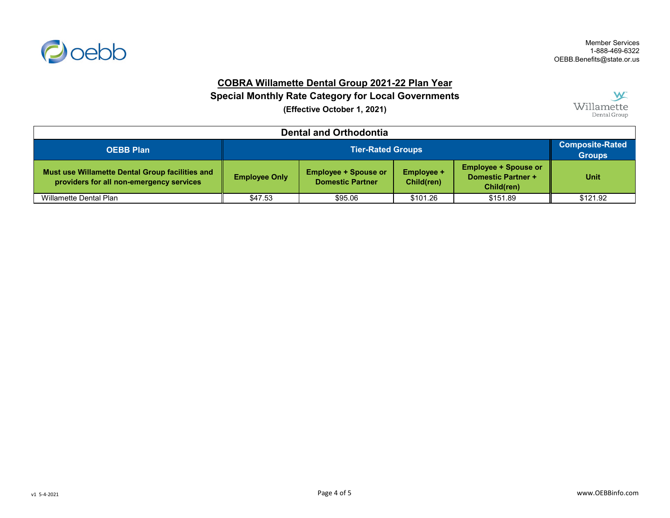

# **COBRA Willamette Dental Group 2021-22 Plan Year**

# **Special Monthly Rate Category for Local Governments**

**(Effective October 1, 2021)**



| <b>Dental and Orthodontia</b>                                                               |                      |                                                                                                                                                              |          |          |          |  |
|---------------------------------------------------------------------------------------------|----------------------|--------------------------------------------------------------------------------------------------------------------------------------------------------------|----------|----------|----------|--|
| <b>OEBB Plan</b>                                                                            |                      | <b>Tier-Rated Groups</b>                                                                                                                                     |          |          |          |  |
| Must use Willamette Dental Group facilities and<br>providers for all non-emergency services | <b>Employee Only</b> | <b>Employee + Spouse or</b><br><b>Employee + Spouse or</b><br>Employee +<br><b>Domestic Partner +</b><br><b>Domestic Partner</b><br>Child(ren)<br>Child(ren) |          |          |          |  |
| Willamette Dental Plan                                                                      | \$47.53              | \$95.06                                                                                                                                                      | \$101.26 | \$151.89 | \$121.92 |  |